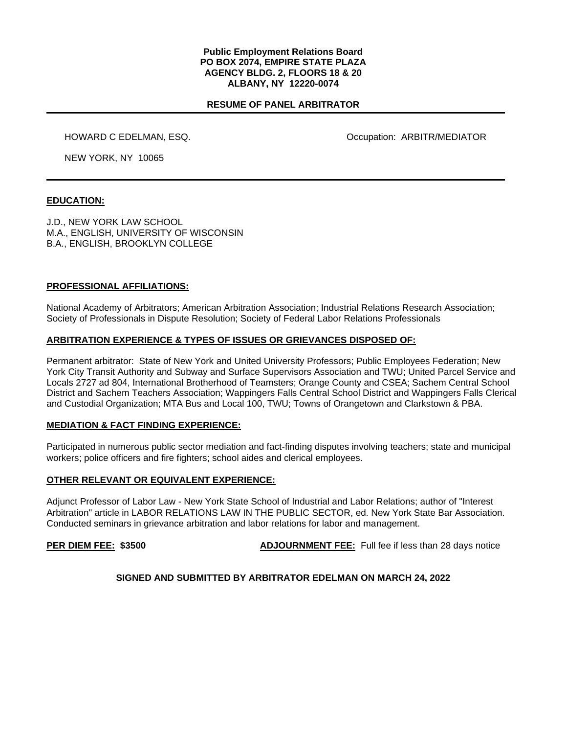#### **Public Employment Relations Board PO BOX 2074, EMPIRE STATE PLAZA AGENCY BLDG. 2, FLOORS 18 & 20 ALBANY, NY 12220-0074**

# **RESUME OF PANEL ARBITRATOR**

HOWARD C EDELMAN, ESQ. The Contract of the Contract of Contract Occupation: ARBITR/MEDIATOR

NEW YORK, NY 10065

#### **EDUCATION:**

J.D., NEW YORK LAW SCHOOL M.A., ENGLISH, UNIVERSITY OF WISCONSIN B.A., ENGLISH, BROOKLYN COLLEGE

## **PROFESSIONAL AFFILIATIONS:**

National Academy of Arbitrators; American Arbitration Association; Industrial Relations Research Association; Society of Professionals in Dispute Resolution; Society of Federal Labor Relations Professionals

#### **ARBITRATION EXPERIENCE & TYPES OF ISSUES OR GRIEVANCES DISPOSED OF:**

Permanent arbitrator: State of New York and United University Professors; Public Employees Federation; New York City Transit Authority and Subway and Surface Supervisors Association and TWU; United Parcel Service and Locals 2727 ad 804, International Brotherhood of Teamsters; Orange County and CSEA; Sachem Central School District and Sachem Teachers Association; Wappingers Falls Central School District and Wappingers Falls Clerical and Custodial Organization; MTA Bus and Local 100, TWU; Towns of Orangetown and Clarkstown & PBA.

#### **MEDIATION & FACT FINDING EXPERIENCE:**

Participated in numerous public sector mediation and fact-finding disputes involving teachers; state and municipal workers; police officers and fire fighters; school aides and clerical employees.

#### **OTHER RELEVANT OR EQUIVALENT EXPERIENCE:**

Adjunct Professor of Labor Law - New York State School of Industrial and Labor Relations; author of "Interest Arbitration" article in LABOR RELATIONS LAW IN THE PUBLIC SECTOR, ed. New York State Bar Association. Conducted seminars in grievance arbitration and labor relations for labor and management.

**PER DIEM FEE:** \$3500 **ADJOURNMENT FEE:** Full fee if less than 28 days notice

## **SIGNED AND SUBMITTED BY ARBITRATOR EDELMAN ON MARCH 24, 2022**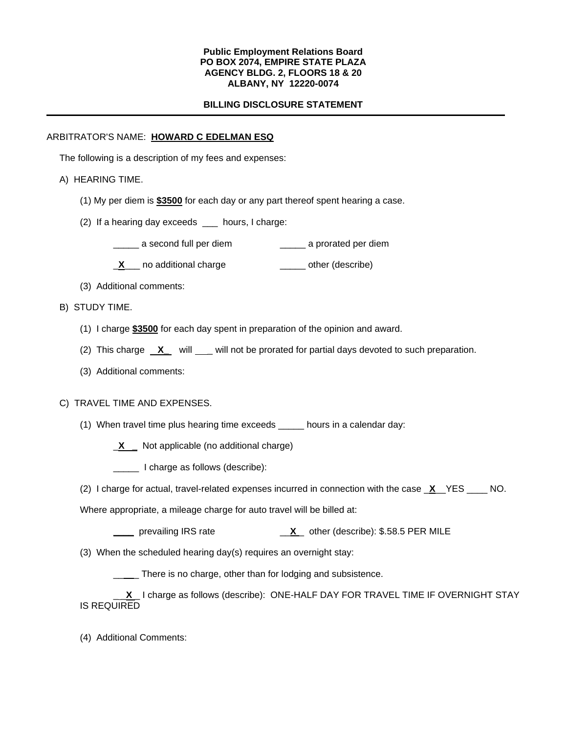### **Public Employment Relations Board PO BOX 2074, EMPIRE STATE PLAZA AGENCY BLDG. 2, FLOORS 18 & 20 ALBANY, NY 12220-0074**

# **BILLING DISCLOSURE STATEMENT**

# ARBITRATOR'S NAME: **HOWARD C EDELMAN ESQ**

The following is a description of my fees and expenses:

# A) HEARING TIME.

- (1) My per diem is **\$3500** for each day or any part thereof spent hearing a case.
- (2) If a hearing day exceeds \_\_\_ hours, I charge:
	- \_\_\_\_\_ a second full per diem \_\_\_\_\_ a prorated per diem
	- **X**<sub>\_</sub>\_\_ no additional charge \_\_\_\_\_\_\_ other (describe)
- (3) Additional comments:
- B) STUDY TIME.
	- (1) I charge **\$3500** for each day spent in preparation of the opinion and award.
	- (2) This charge **X** will <u>example will not be prorated for partial days devoted to such preparation.</u>
	- (3) Additional comments:

## C) TRAVEL TIME AND EXPENSES.

(1) When travel time plus hearing time exceeds \_\_\_\_\_ hours in a calendar day:

\_**X \_** Not applicable (no additional charge)

\_\_\_\_\_ I charge as follows (describe):

(2) I charge for actual, travel-related expenses incurred in connection with the case \_**X**\_\_YES \_\_\_\_ NO.

Where appropriate, a mileage charge for auto travel will be billed at:

- **\_\_\_\_** prevailing IRS rate \_\_**X** \_ other (describe): \$.58.5 PER MILE
- (3) When the scheduled hearing day(s) requires an overnight stay:

\_\_\_\_ There is no charge, other than for lodging and subsistence.

**<u>\_X</u>**\_I charge as follows (describe): ONE-HALF DAY FOR TRAVEL TIME IF OVERNIGHT STAY IS REQUIRED

(4) Additional Comments: